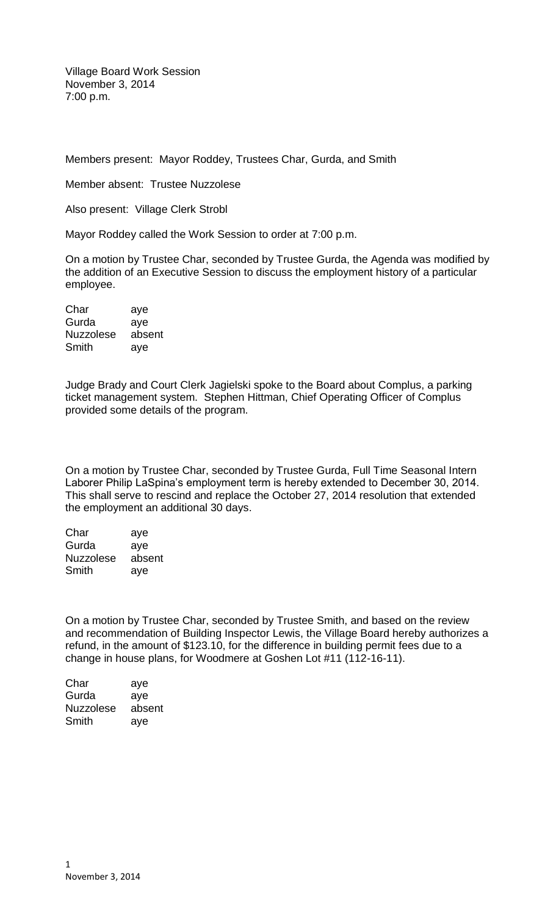Village Board Work Session November 3, 2014 7:00 p.m.

Members present: Mayor Roddey, Trustees Char, Gurda, and Smith

Member absent: Trustee Nuzzolese

Also present: Village Clerk Strobl

Mayor Roddey called the Work Session to order at 7:00 p.m.

On a motion by Trustee Char, seconded by Trustee Gurda, the Agenda was modified by the addition of an Executive Session to discuss the employment history of a particular employee.

| Char             | aye    |
|------------------|--------|
| Gurda            | aye    |
| <b>Nuzzolese</b> | absent |
| Smith            | aye    |

Judge Brady and Court Clerk Jagielski spoke to the Board about Complus, a parking ticket management system. Stephen Hittman, Chief Operating Officer of Complus provided some details of the program.

On a motion by Trustee Char, seconded by Trustee Gurda, Full Time Seasonal Intern Laborer Philip LaSpina's employment term is hereby extended to December 30, 2014. This shall serve to rescind and replace the October 27, 2014 resolution that extended the employment an additional 30 days.

| Char             | aye    |
|------------------|--------|
| Gurda            | aye    |
| <b>Nuzzolese</b> | absent |
| Smith            | aye    |

On a motion by Trustee Char, seconded by Trustee Smith, and based on the review and recommendation of Building Inspector Lewis, the Village Board hereby authorizes a refund, in the amount of \$123.10, for the difference in building permit fees due to a change in house plans, for Woodmere at Goshen Lot #11 (112-16-11).

| Char             | aye    |
|------------------|--------|
| Gurda            | aye    |
| <b>Nuzzolese</b> | absent |
| Smith            | aye    |